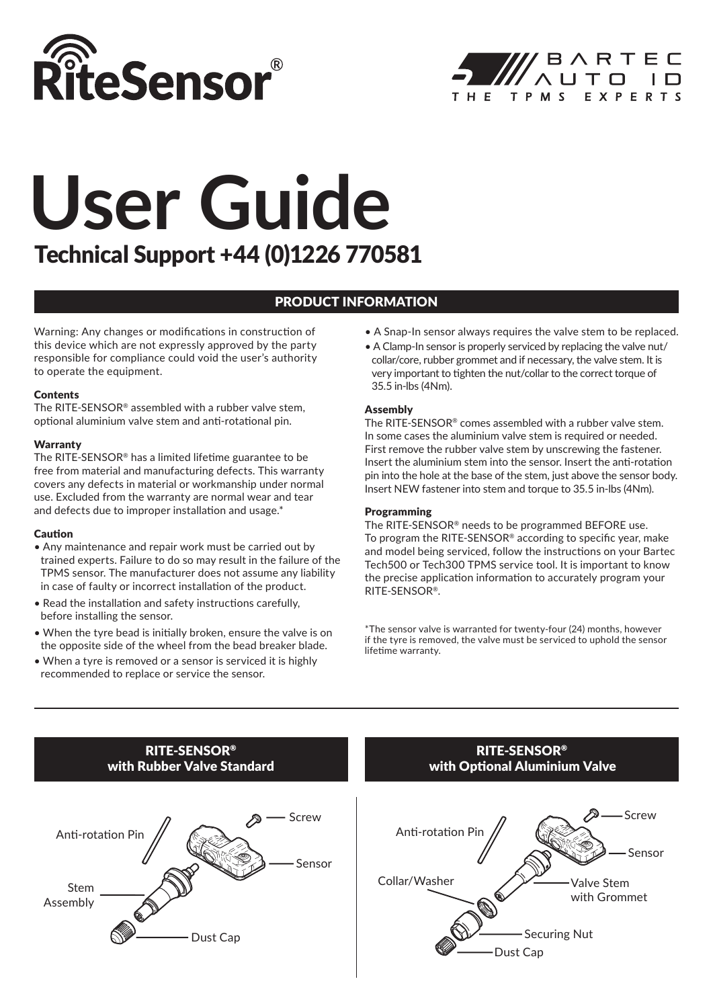



# Technical Support +44 (0)1226 770581 **User Guide**

# PRODUCT INFORMATION

Warning: Any changes or modifications in construction of this device which are not expressly approved by the party responsible for compliance could void the user's authority to operate the equipment.

#### **Contents**

The RITE-SENSOR® assembled with a rubber valve stem, optional aluminium valve stem and anti-rotational pin.

#### **Warranty**

The RITE-SENSOR® has a limited lifetime guarantee to be free from material and manufacturing defects. This warranty covers any defects in material or workmanship under normal use. Excluded from the warranty are normal wear and tear and defects due to improper installation and usage.\*

#### Caution

- Any maintenance and repair work must be carried out by trained experts. Failure to do so may result in the failure of the TPMS sensor. The manufacturer does not assume any liability in case of faulty or incorrect installation of the product.
- Read the installation and safety instructions carefully, before installing the sensor.
- When the tyre bead is initially broken, ensure the valve is on the opposite side of the wheel from the bead breaker blade.
- When a tyre is removed or a sensor is serviced it is highly recommended to replace or service the sensor.
- A Snap-In sensor always requires the valve stem to be replaced.
- A Clamp-In sensor is properly serviced by replacing the valve nut/ collar/core, rubber grommet and if necessary, the valve stem. It is very important to tighten the nut/collar to the correct torque of 35.5 in-lbs (4Nm).

## Assembly

The RITE-SENSOR® comes assembled with a rubber valve stem. In some cases the aluminium valve stem is required or needed. First remove the rubber valve stem by unscrewing the fastener. Insert the aluminium stem into the sensor. Insert the anti-rotation pin into the hole at the base of the stem, just above the sensor body. Insert NEW fastener into stem and torque to 35.5 in-lbs (4Nm).

## Programming

The RITE-SENSOR® needs to be programmed BEFORE use. To program the RITE-SENSOR® according to specific year, make and model being serviced, follow the instructions on your Bartec Tech500 or Tech300 TPMS service tool. It is important to know the precise application information to accurately program your RITE-SENSOR®.

\*The sensor valve is warranted for twenty-four (24) months, however if the tyre is removed, the valve must be serviced to uphold the sensor lifetime warranty.